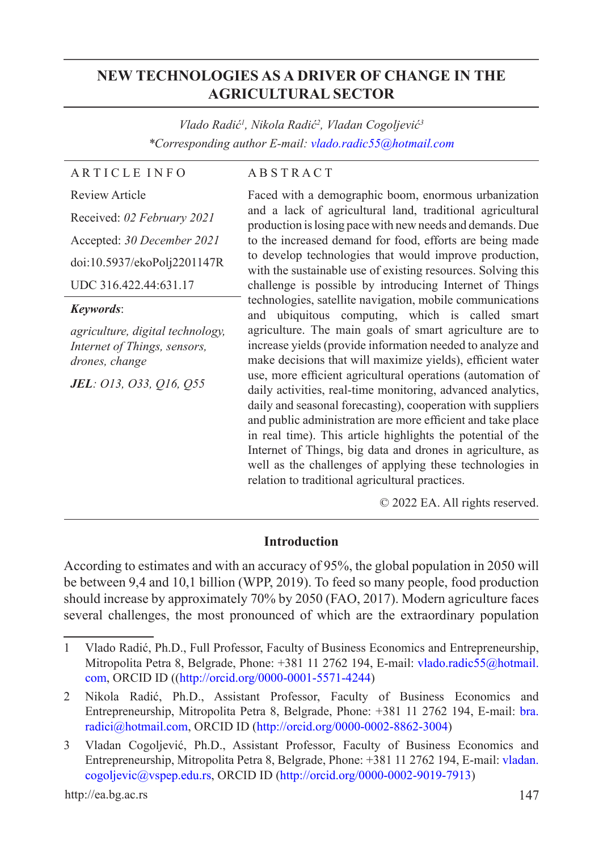# **NEW TECHNOLOGIES AS A DRIVER OF CHANGE IN THE AGRICULTURAL SECTOR**

*Vlado Radić<sup>1</sup> , Nikola Radić<sup>2</sup> , Vladan Cogoljević<sup>3</sup> \*Corresponding author E-mail: vlado.radic55@hotmail.com*

## A R T I C L E I N F O

#### A B S T R A C T

Review Article Received: *02 February 2021* Accepted: *30 December 2021* doi:10.5937/ekoPolj2201147R UDC 316.422.44:631.17

#### *Keywords*:

*agriculture, digital technology, Internet of Things, sensors, drones, change*

*JEL: O13, O33, Q16, Q55*

Faced with a demographic boom, enormous urbanization and a lack of agricultural land, traditional agricultural production is losing pace with new needs and demands. Due to the increased demand for food, efforts are being made to develop technologies that would improve production, with the sustainable use of existing resources. Solving this challenge is possible by introducing Internet of Things technologies, satellite navigation, mobile communications and ubiquitous computing, which is called smart agriculture. The main goals of smart agriculture are to increase yields (provide information needed to analyze and make decisions that will maximize yields), efficient water use, more efficient agricultural operations (automation of daily activities, real-time monitoring, advanced analytics, daily and seasonal forecasting), cooperation with suppliers and public administration are more efficient and take place in real time). This article highlights the potential of the Internet of Things, big data and drones in agriculture, as well as the challenges of applying these technologies in relation to traditional agricultural practices.

© 2022 EA. All rights reserved.

### **Introduction**

According to estimates and with an accuracy of 95%, the global population in 2050 will be between 9,4 and 10,1 billion (WPP, 2019). To feed so many people, food production should increase by approximately 70% by 2050 (FAO, 2017). Modern agriculture faces several challenges, the most pronounced of which are the extraordinary population

<sup>1</sup> Vlado Radić, Ph.D., Full Professor, Faculty of Business Economics and Entrepreneurship, Mitropolita Petra 8, Belgrade, Phone: +381 11 2762 194, E-mail: vlado.radic55@hotmail. com, ORCID ID ((http://orcid.org/0000-0001-5571-4244)

<sup>2</sup> Nikola Radić, Ph.D., Assistant Professor, Faculty of Business Economics and Entrepreneurship, Mitropolita Petra 8, Belgrade, Phone: +381 11 2762 194, E-mail: bra. radici@hotmail.com, ORCID ID (http://orcid.org/0000-0002-8862-3004)

<sup>3</sup> Vladan Cogoljević, Ph.D., Assistant Professor, Faculty of Business Economics and Entrepreneurship, Mitropolita Petra 8, Belgrade, Phone: +381 11 2762 194, E-mail: vladan. cogoljevic@vspep.edu.rs, ORCID ID (http://orcid.org/0000-0002-9019-7913)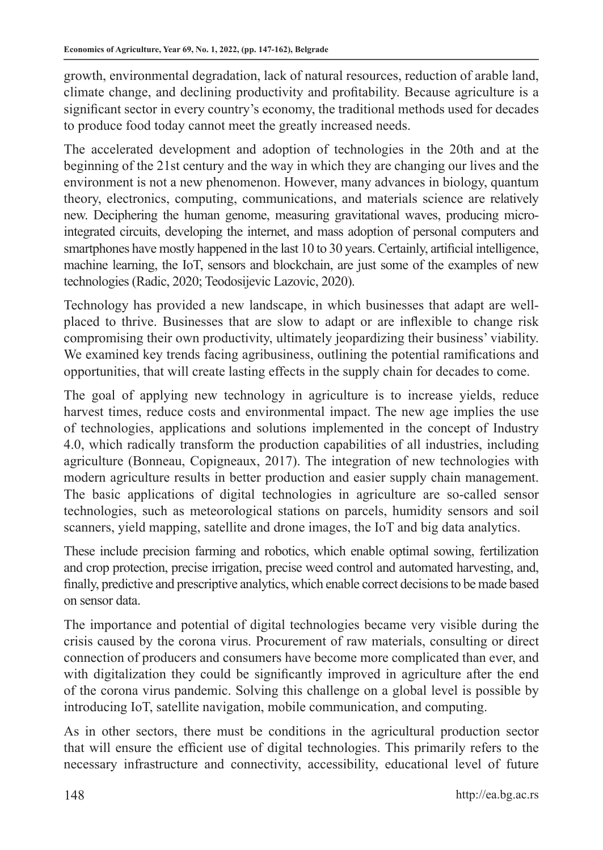growth, environmental degradation, lack of natural resources, reduction of arable land, climate change, and declining productivity and profitability. Because agriculture is a significant sector in every country's economy, the traditional methods used for decades to produce food today cannot meet the greatly increased needs.

The accelerated development and adoption of technologies in the 20th and at the beginning of the 21st century and the way in which they are changing our lives and the environment is not a new phenomenon. However, many advances in biology, quantum theory, electronics, computing, communications, and materials science are relatively new. Deciphering the human genome, measuring gravitational waves, producing microintegrated circuits, developing the internet, and mass adoption of personal computers and smartphones have mostly happened in the last 10 to 30 years. Certainly, artificial intelligence, machine learning, the IoT, sensors and blockchain, are just some of the examples of new technologies (Radic, 2020; Teodosijevic Lazovic, 2020).

Technology has provided a new landscape, in which businesses that adapt are wellplaced to thrive. Businesses that are slow to adapt or are inflexible to change risk compromising their own productivity, ultimately jeopardizing their business' viability. We examined key trends facing agribusiness, outlining the potential ramifications and opportunities, that will create lasting effects in the supply chain for decades to come.

The goal of applying new technology in agriculture is to increase yields, reduce harvest times, reduce costs and environmental impact. The new age implies the use of technologies, applications and solutions implemented in the concept of Industry 4.0, which radically transform the production capabilities of all industries, including agriculture (Bonneau, Copigneaux, 2017). The integration of new technologies with modern agriculture results in better production and easier supply chain management. The basic applications of digital technologies in agriculture are so-called sensor technologies, such as meteorological stations on parcels, humidity sensors and soil scanners, yield mapping, satellite and drone images, the IoT and big data analytics.

These include precision farming and robotics, which enable optimal sowing, fertilization and crop protection, precise irrigation, precise weed control and automated harvesting, and, finally, predictive and prescriptive analytics, which enable correct decisions to be made based on sensor data.

The importance and potential of digital technologies became very visible during the crisis caused by the corona virus. Procurement of raw materials, consulting or direct connection of producers and consumers have become more complicated than ever, and with digitalization they could be significantly improved in agriculture after the end of the corona virus pandemic. Solving this challenge on a global level is possible by introducing IoT, satellite navigation, mobile communication, and computing.

As in other sectors, there must be conditions in the agricultural production sector that will ensure the efficient use of digital technologies. This primarily refers to the necessary infrastructure and connectivity, accessibility, educational level of future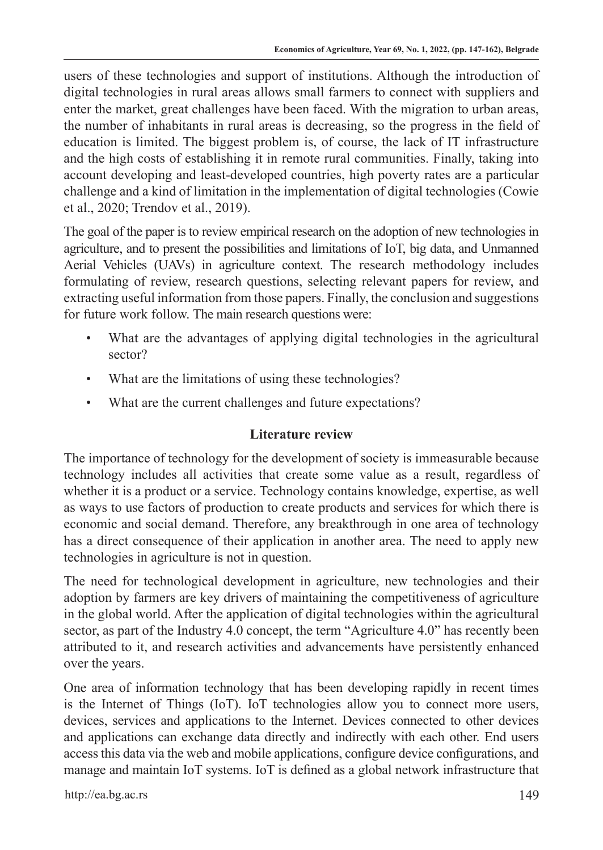users of these technologies and support of institutions. Although the introduction of digital technologies in rural areas allows small farmers to connect with suppliers and enter the market, great challenges have been faced. With the migration to urban areas, the number of inhabitants in rural areas is decreasing, so the progress in the field of education is limited. The biggest problem is, of course, the lack of IT infrastructure and the high costs of establishing it in remote rural communities. Finally, taking into account developing and least-developed countries, high poverty rates are a particular challenge and a kind of limitation in the implementation of digital technologies (Cowie et al., 2020; Trendov et al., 2019).

The goal of the paper is to review empirical research on the adoption of new technologies in agriculture, and to present the possibilities and limitations of IoT, big data, and Unmanned Aerial Vehicles (UAVs) in agriculture context. The research methodology includes formulating of review, research questions, selecting relevant papers for review, and extracting useful information from those papers. Finally, the conclusion and suggestions for future work follow. The main research questions were:

- What are the advantages of applying digital technologies in the agricultural sector?
- What are the limitations of using these technologies?
- What are the current challenges and future expectations?

# **Literature review**

The importance of technology for the development of society is immeasurable because technology includes all activities that create some value as a result, regardless of whether it is a product or a service. Technology contains knowledge, expertise, as well as ways to use factors of production to create products and services for which there is economic and social demand. Therefore, any breakthrough in one area of technology has a direct consequence of their application in another area. The need to apply new technologies in agriculture is not in question.

The need for technological development in agriculture, new technologies and their adoption by farmers are key drivers of maintaining the competitiveness of agriculture in the global world. After the application of digital technologies within the agricultural sector, as part of the Industry 4.0 concept, the term "Agriculture 4.0" has recently been attributed to it, and research activities and advancements have persistently enhanced over the years.

One area of information technology that has been developing rapidly in recent times is the Internet of Things (IoT). IoT technologies allow you to connect more users, devices, services and applications to the Internet. Devices connected to other devices and applications can exchange data directly and indirectly with each other. End users access this data via the web and mobile applications, configure device configurations, and manage and maintain IoT systems. IoT is defined as a global network infrastructure that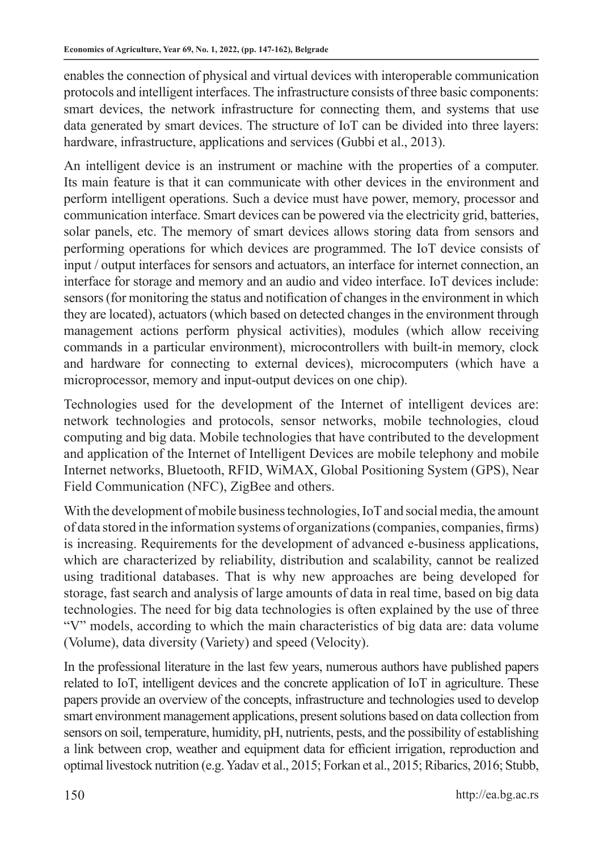enables the connection of physical and virtual devices with interoperable communication protocols and intelligent interfaces. The infrastructure consists of three basic components: smart devices, the network infrastructure for connecting them, and systems that use data generated by smart devices. The structure of IoT can be divided into three layers: hardware, infrastructure, applications and services (Gubbi et al., 2013).

An intelligent device is an instrument or machine with the properties of a computer. Its main feature is that it can communicate with other devices in the environment and perform intelligent operations. Such a device must have power, memory, processor and communication interface. Smart devices can be powered via the electricity grid, batteries, solar panels, etc. The memory of smart devices allows storing data from sensors and performing operations for which devices are programmed. The IoT device consists of input / output interfaces for sensors and actuators, an interface for internet connection, an interface for storage and memory and an audio and video interface. IoT devices include: sensors (for monitoring the status and notification of changes in the environment in which they are located), actuators (which based on detected changes in the environment through management actions perform physical activities), modules (which allow receiving commands in a particular environment), microcontrollers with built-in memory, clock and hardware for connecting to external devices), microcomputers (which have a microprocessor, memory and input-output devices on one chip).

Technologies used for the development of the Internet of intelligent devices are: network technologies and protocols, sensor networks, mobile technologies, cloud computing and big data. Mobile technologies that have contributed to the development and application of the Internet of Intelligent Devices are mobile telephony and mobile Internet networks, Bluetooth, RFID, WiMAX, Global Positioning System (GPS), Near Field Communication (NFC), ZigBee and others.

With the development of mobile business technologies, IoT and social media, the amount of data stored in the information systems of organizations (companies, companies, firms) is increasing. Requirements for the development of advanced e-business applications, which are characterized by reliability, distribution and scalability, cannot be realized using traditional databases. That is why new approaches are being developed for storage, fast search and analysis of large amounts of data in real time, based on big data technologies. The need for big data technologies is often explained by the use of three "V" models, according to which the main characteristics of big data are: data volume (Volume), data diversity (Variety) and speed (Velocity).

In the professional literature in the last few years, numerous authors have published papers related to IoT, intelligent devices and the concrete application of IoT in agriculture. These papers provide an overview of the concepts, infrastructure and technologies used to develop smart environment management applications, present solutions based on data collection from sensors on soil, temperature, humidity, pH, nutrients, pests, and the possibility of establishing a link between crop, weather and equipment data for efficient irrigation, reproduction and optimal livestock nutrition (e.g. Yadav et al., 2015; Forkan et al., 2015; Ribarics, 2016; Stubb,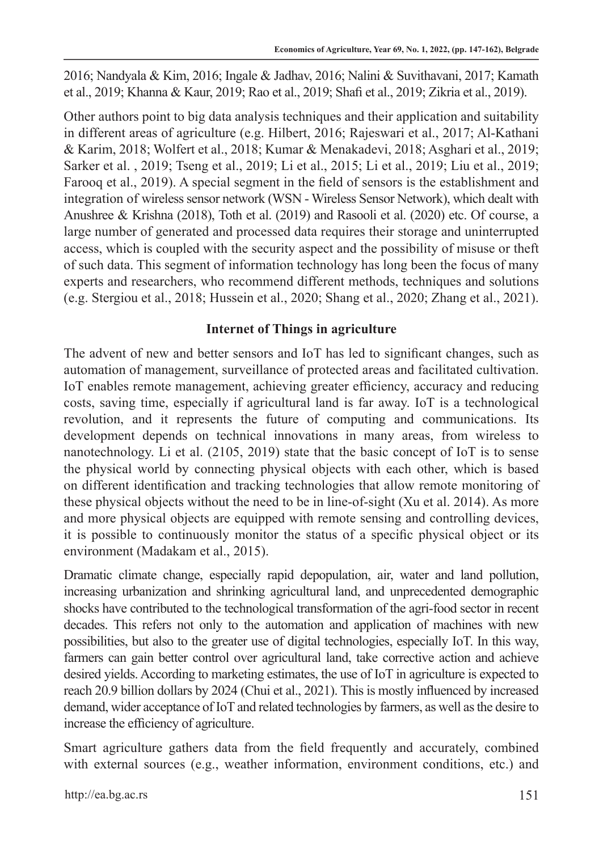2016; Nandyala & Kim, 2016; Ingale & Jadhav, 2016; Nalini & Suvithavani, 2017; Kamath et al., 2019; Khanna & Kaur, 2019; Rao et al., 2019; Shafi et al., 2019; Zikria et al., 2019).

Other authors point to big data analysis techniques and their application and suitability in different areas of agriculture (e.g. Hilbert, 2016; Rajeswari et al., 2017; Al-Kathani & Karim, 2018; Wolfert et al., 2018; Kumar & Menakadevi, 2018; Asghari et al., 2019; Sarker et al. , 2019; Tseng et al., 2019; Li et al., 2015; Li et al., 2019; Liu et al., 2019; Farooq et al., 2019). A special segment in the field of sensors is the establishment and integration of wireless sensor network (WSN - Wireless Sensor Network), which dealt with Anushree & Krishna (2018), Toth et al. (2019) and Rasooli et al. (2020) etc. Of course, a large number of generated and processed data requires their storage and uninterrupted access, which is coupled with the security aspect and the possibility of misuse or theft of such data. This segment of information technology has long been the focus of many experts and researchers, who recommend different methods, techniques and solutions (e.g. Stergiou et al., 2018; Hussein et al., 2020; Shang et al., 2020; Zhang et al., 2021).

# **Internet of Things in agriculture**

The advent of new and better sensors and IoT has led to significant changes, such as automation of management, surveillance of protected areas and facilitated cultivation. IoT enables remote management, achieving greater efficiency, accuracy and reducing costs, saving time, especially if agricultural land is far away. IoT is a technological revolution, and it represents the future of computing and communications. Its development depends on technical innovations in many areas, from wireless to nanotechnology. Li et al. (2105, 2019) state that the basic concept of IoT is to sense the physical world by connecting physical objects with each other, which is based on different identification and tracking technologies that allow remote monitoring of these physical objects without the need to be in line-of-sight (Xu et al. 2014). As more and more physical objects are equipped with remote sensing and controlling devices, it is possible to continuously monitor the status of a specific physical object or its environment (Madakam et al., 2015).

Dramatic climate change, especially rapid depopulation, air, water and land pollution, increasing urbanization and shrinking agricultural land, and unprecedented demographic shocks have contributed to the technological transformation of the agri-food sector in recent decades. This refers not only to the automation and application of machines with new possibilities, but also to the greater use of digital technologies, especially IoT. In this way, farmers can gain better control over agricultural land, take corrective action and achieve desired yields. According to marketing estimates, the use of IoT in agriculture is expected to reach 20.9 billion dollars by 2024 (Chui et al., 2021). This is mostly influenced by increased demand, wider acceptance of IoT and related technologies by farmers, as well as the desire to increase the efficiency of agriculture.

Smart agriculture gathers data from the field frequently and accurately, combined with external sources (e.g., weather information, environment conditions, etc.) and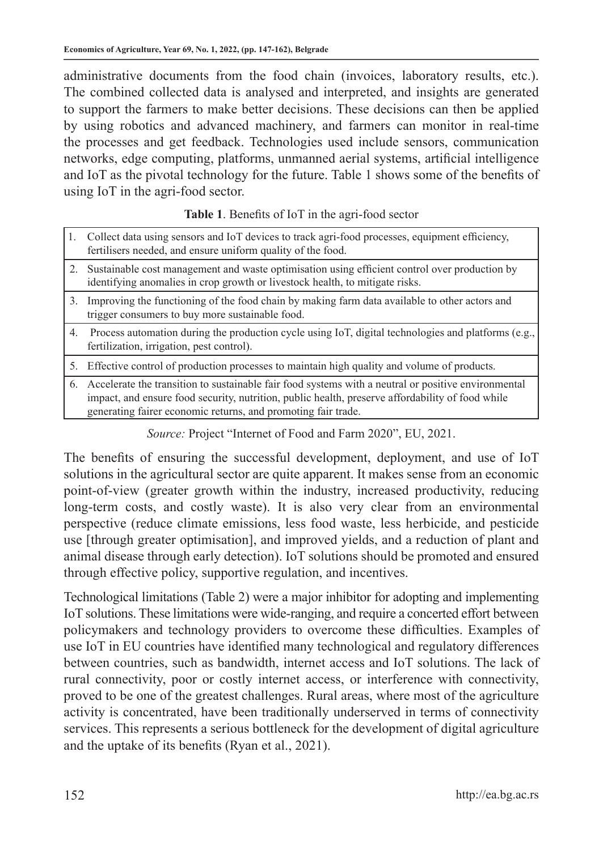administrative documents from the food chain (invoices, laboratory results, etc.). The combined collected data is analysed and interpreted, and insights are generated to support the farmers to make better decisions. These decisions can then be applied by using robotics and advanced machinery, and farmers can monitor in real-time the processes and get feedback. Technologies used include sensors, communication networks, edge computing, platforms, unmanned aerial systems, artificial intelligence and IoT as the pivotal technology for the future. Table 1 shows some of the benefits of using IoT in the agri-food sector.

#### **Table 1**. Benefits of IoT in the agri-food sector

|         | 1. Collect data using sensors and IoT devices to track agri-food processes, equipment efficiency,<br>fertilisers needed, and ensure uniform quality of the food.                                                                                                            |
|---------|-----------------------------------------------------------------------------------------------------------------------------------------------------------------------------------------------------------------------------------------------------------------------------|
|         | 2. Sustainable cost management and waste optimisation using efficient control over production by<br>identifying anomalies in crop growth or livestock health, to mitigate risks.                                                                                            |
|         | 3. Improving the functioning of the food chain by making farm data available to other actors and<br>trigger consumers to buy more sustainable food.                                                                                                                         |
| 4.      | Process automation during the production cycle using IoT, digital technologies and platforms (e.g.,<br>fertilization, irrigation, pest control).                                                                                                                            |
| $5_{-}$ | Effective control of production processes to maintain high quality and volume of products.                                                                                                                                                                                  |
|         | 6. Accelerate the transition to sustainable fair food systems with a neutral or positive environmental<br>impact, and ensure food security, nutrition, public health, preserve affordability of food while<br>generating fairer economic returns, and promoting fair trade. |

*Source:* Project "Internet of Food and Farm 2020", EU, 2021.

The benefits of ensuring the successful development, deployment, and use of IoT solutions in the agricultural sector are quite apparent. It makes sense from an economic point-of-view (greater growth within the industry, increased productivity, reducing long-term costs, and costly waste). It is also very clear from an environmental perspective (reduce climate emissions, less food waste, less herbicide, and pesticide use [through greater optimisation], and improved yields, and a reduction of plant and animal disease through early detection). IoT solutions should be promoted and ensured through effective policy, supportive regulation, and incentives.

Technological limitations (Table 2) were a major inhibitor for adopting and implementing IoT solutions. These limitations were wide-ranging, and require a concerted effort between policymakers and technology providers to overcome these difficulties. Examples of use IoT in EU countries have identified many technological and regulatory differences between countries, such as bandwidth, internet access and IoT solutions. The lack of rural connectivity, poor or costly internet access, or interference with connectivity, proved to be one of the greatest challenges. Rural areas, where most of the agriculture activity is concentrated, have been traditionally underserved in terms of connectivity services. This represents a serious bottleneck for the development of digital agriculture and the uptake of its benefits (Ryan et al., 2021).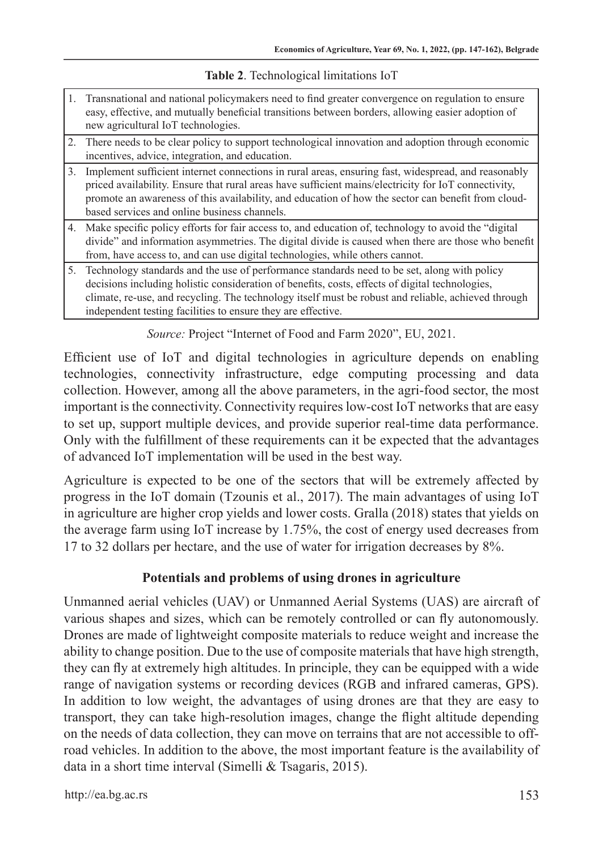|  | Table 2. Technological limitations IoT |  |  |
|--|----------------------------------------|--|--|
|--|----------------------------------------|--|--|

- 1. Transnational and national policymakers need to find greater convergence on regulation to ensure easy, effective, and mutually beneficial transitions between borders, allowing easier adoption of new agricultural IoT technologies.
- 2. There needs to be clear policy to support technological innovation and adoption through economic incentives, advice, integration, and education.
- 3. Implement sufficient internet connections in rural areas, ensuring fast, widespread, and reasonably priced availability. Ensure that rural areas have sufficient mains/electricity for IoT connectivity, promote an awareness of this availability, and education of how the sector can benefit from cloudbased services and online business channels.
- 4. Make specific policy efforts for fair access to, and education of, technology to avoid the "digital divide" and information asymmetries. The digital divide is caused when there are those who benefit from, have access to, and can use digital technologies, while others cannot.
- 5. Technology standards and the use of performance standards need to be set, along with policy decisions including holistic consideration of benefits, costs, effects of digital technologies, climate, re-use, and recycling. The technology itself must be robust and reliable, achieved through independent testing facilities to ensure they are effective.

*Source:* Project "Internet of Food and Farm 2020", EU, 2021.

Efficient use of IoT and digital technologies in agriculture depends on enabling technologies, connectivity infrastructure, edge computing processing and data collection. However, among all the above parameters, in the agri-food sector, the most important is the connectivity. Connectivity requires low-cost IoT networks that are easy to set up, support multiple devices, and provide superior real-time data performance. Only with the fulfillment of these requirements can it be expected that the advantages of advanced IoT implementation will be used in the best way.

Agriculture is expected to be one of the sectors that will be extremely affected by progress in the IoT domain (Tzounis et al., 2017). The main advantages of using IoT in agriculture are higher crop yields and lower costs. Gralla (2018) states that yields on the average farm using IoT increase by 1.75%, the cost of energy used decreases from 17 to 32 dollars per hectare, and the use of water for irrigation decreases by 8%.

#### **Potentials and problems of using drones in agriculture**

Unmanned aerial vehicles (UAV) or Unmanned Aerial Systems (UAS) are aircraft of various shapes and sizes, which can be remotely controlled or can fly autonomously. Drones are made of lightweight composite materials to reduce weight and increase the ability to change position. Due to the use of composite materials that have high strength, they can fly at extremely high altitudes. In principle, they can be equipped with a wide range of navigation systems or recording devices (RGB and infrared cameras, GPS). In addition to low weight, the advantages of using drones are that they are easy to transport, they can take high-resolution images, change the flight altitude depending on the needs of data collection, they can move on terrains that are not accessible to offroad vehicles. In addition to the above, the most important feature is the availability of data in a short time interval (Simelli & Tsagaris, 2015).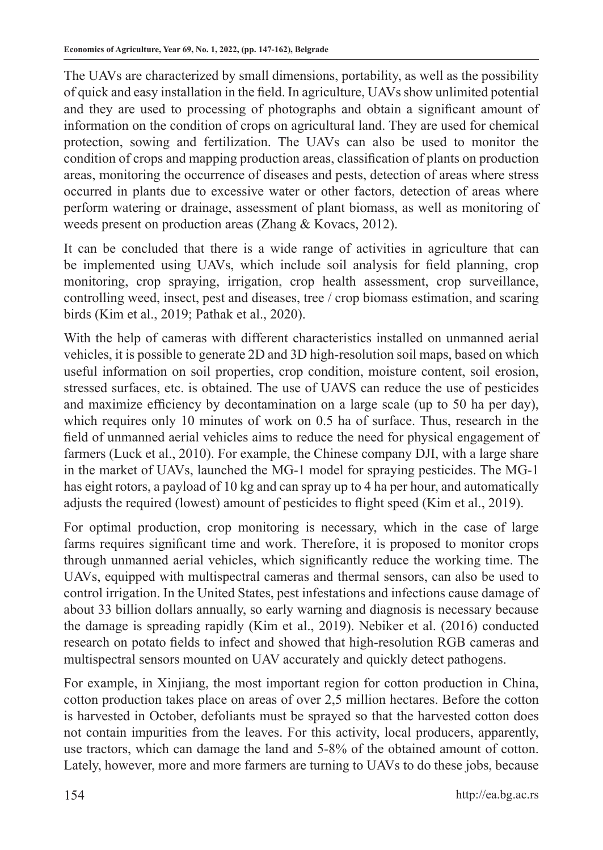The UAVs are characterized by small dimensions, portability, as well as the possibility of quick and easy installation in the field. In agriculture, UAVs show unlimited potential and they are used to processing of photographs and obtain a significant amount of information on the condition of crops on agricultural land. They are used for chemical protection, sowing and fertilization. The UAVs can also be used to monitor the condition of crops and mapping production areas, classification of plants on production areas, monitoring the occurrence of diseases and pests, detection of areas where stress occurred in plants due to excessive water or other factors, detection of areas where perform watering or drainage, assessment of plant biomass, as well as monitoring of weeds present on production areas (Zhang & Kovacs, 2012).

It can be concluded that there is a wide range of activities in agriculture that can be implemented using UAVs, which include soil analysis for field planning, crop monitoring, crop spraying, irrigation, crop health assessment, crop surveillance, controlling weed, insect, pest and diseases, tree / crop biomass estimation, and scaring birds (Kim et al., 2019; Pathak et al., 2020).

With the help of cameras with different characteristics installed on unmanned aerial vehicles, it is possible to generate 2D and 3D high-resolution soil maps, based on which useful information on soil properties, crop condition, moisture content, soil erosion, stressed surfaces, etc. is obtained. The use of UAVS can reduce the use of pesticides and maximize efficiency by decontamination on a large scale (up to 50 ha per day), which requires only 10 minutes of work on 0.5 ha of surface. Thus, research in the field of unmanned aerial vehicles aims to reduce the need for physical engagement of farmers (Luck et al., 2010). For example, the Chinese company DJI, with a large share in the market of UAVs, launched the MG-1 model for spraying pesticides. The MG-1 has eight rotors, a payload of 10 kg and can spray up to 4 ha per hour, and automatically adjusts the required (lowest) amount of pesticides to flight speed (Kim et al., 2019).

For optimal production, crop monitoring is necessary, which in the case of large farms requires significant time and work. Therefore, it is proposed to monitor crops through unmanned aerial vehicles, which significantly reduce the working time. The UAVs, equipped with multispectral cameras and thermal sensors, can also be used to control irrigation. In the United States, pest infestations and infections cause damage of about 33 billion dollars annually, so early warning and diagnosis is necessary because the damage is spreading rapidly (Kim et al., 2019). Nebiker et al. (2016) conducted research on potato fields to infect and showed that high-resolution RGB cameras and multispectral sensors mounted on UAV accurately and quickly detect pathogens.

For example, in Xinjiang, the most important region for cotton production in China, cotton production takes place on areas of over 2,5 million hectares. Before the cotton is harvested in October, defoliants must be sprayed so that the harvested cotton does not contain impurities from the leaves. For this activity, local producers, apparently, use tractors, which can damage the land and 5-8% of the obtained amount of cotton. Lately, however, more and more farmers are turning to UAVs to do these jobs, because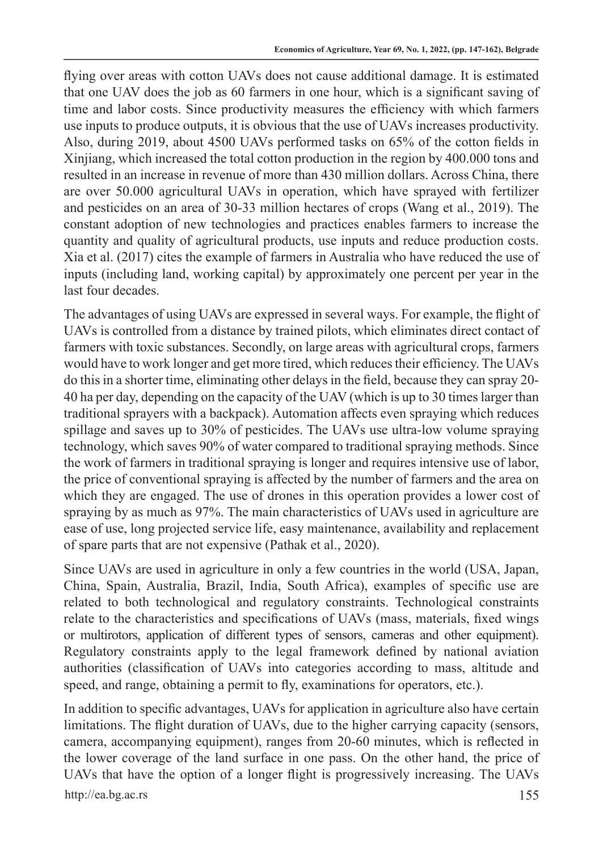flying over areas with cotton UAVs does not cause additional damage. It is estimated that one UAV does the job as 60 farmers in one hour, which is a significant saving of time and labor costs. Since productivity measures the efficiency with which farmers use inputs to produce outputs, it is obvious that the use of UAVs increases productivity. Also, during 2019, about 4500 UAVs performed tasks on 65% of the cotton fields in Xinjiang, which increased the total cotton production in the region by 400.000 tons and resulted in an increase in revenue of more than 430 million dollars. Across China, there are over 50.000 agricultural UAVs in operation, which have sprayed with fertilizer and pesticides on an area of 30-33 million hectares of crops (Wang et al., 2019). The constant adoption of new technologies and practices enables farmers to increase the quantity and quality of agricultural products, use inputs and reduce production costs. Xia et al. (2017) cites the example of farmers in Australia who have reduced the use of inputs (including land, working capital) by approximately one percent per year in the last four decades.

The advantages of using UAVs are expressed in several ways. For example, the flight of UAVs is controlled from a distance by trained pilots, which eliminates direct contact of farmers with toxic substances. Secondly, on large areas with agricultural crops, farmers would have to work longer and get more tired, which reduces their efficiency. The UAVs do this in a shorter time, eliminating other delays in the field, because they can spray 20- 40 ha per day, depending on the capacity of the UAV (which is up to 30 times larger than traditional sprayers with a backpack). Automation affects even spraying which reduces spillage and saves up to 30% of pesticides. The UAVs use ultra-low volume spraying technology, which saves 90% of water compared to traditional spraying methods. Since the work of farmers in traditional spraying is longer and requires intensive use of labor, the price of conventional spraying is affected by the number of farmers and the area on which they are engaged. The use of drones in this operation provides a lower cost of spraying by as much as 97%. The main characteristics of UAVs used in agriculture are ease of use, long projected service life, easy maintenance, availability and replacement of spare parts that are not expensive (Pathak et al., 2020).

Since UAVs are used in agriculture in only a few countries in the world (USA, Japan, China, Spain, Australia, Brazil, India, South Africa), examples of specific use are related to both technological and regulatory constraints. Technological constraints relate to the characteristics and specifications of UAVs (mass, materials, fixed wings or multirotors, application of different types of sensors, cameras and other equipment). Regulatory constraints apply to the legal framework defined by national aviation authorities (classification of UAVs into categories according to mass, altitude and speed, and range, obtaining a permit to fly, examinations for operators, etc.).

http://ea.bg.ac.rs 155 In addition to specific advantages, UAVs for application in agriculture also have certain limitations. The flight duration of UAVs, due to the higher carrying capacity (sensors, camera, accompanying equipment), ranges from 20-60 minutes, which is reflected in the lower coverage of the land surface in one pass. On the other hand, the price of UAVs that have the option of a longer flight is progressively increasing. The UAVs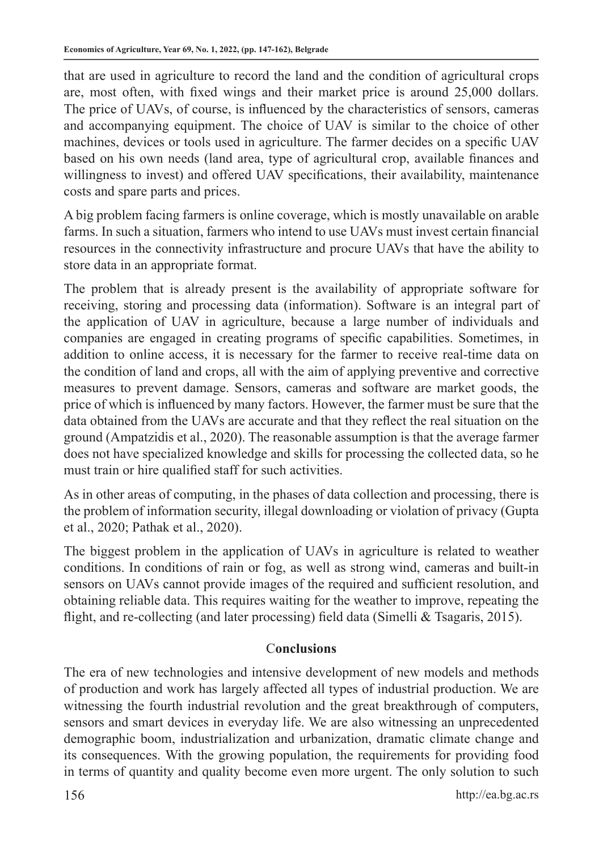that are used in agriculture to record the land and the condition of agricultural crops are, most often, with fixed wings and their market price is around 25,000 dollars. The price of UAVs, of course, is influenced by the characteristics of sensors, cameras and accompanying equipment. The choice of UAV is similar to the choice of other machines, devices or tools used in agriculture. The farmer decides on a specific UAV based on his own needs (land area, type of agricultural crop, available finances and willingness to invest) and offered UAV specifications, their availability, maintenance costs and spare parts and prices.

A big problem facing farmers is online coverage, which is mostly unavailable on arable farms. In such a situation, farmers who intend to use UAVs must invest certain financial resources in the connectivity infrastructure and procure UAVs that have the ability to store data in an appropriate format.

The problem that is already present is the availability of appropriate software for receiving, storing and processing data (information). Software is an integral part of the application of UAV in agriculture, because a large number of individuals and companies are engaged in creating programs of specific capabilities. Sometimes, in addition to online access, it is necessary for the farmer to receive real-time data on the condition of land and crops, all with the aim of applying preventive and corrective measures to prevent damage. Sensors, cameras and software are market goods, the price of which is influenced by many factors. However, the farmer must be sure that the data obtained from the UAVs are accurate and that they reflect the real situation on the ground (Ampatzidis et al., 2020). The reasonable assumption is that the average farmer does not have specialized knowledge and skills for processing the collected data, so he must train or hire qualified staff for such activities.

As in other areas of computing, in the phases of data collection and processing, there is the problem of information security, illegal downloading or violation of privacy (Gupta et al., 2020; Pathak et al., 2020).

The biggest problem in the application of UAVs in agriculture is related to weather conditions. In conditions of rain or fog, as well as strong wind, cameras and built-in sensors on UAVs cannot provide images of the required and sufficient resolution, and obtaining reliable data. This requires waiting for the weather to improve, repeating the flight, and re-collecting (and later processing) field data (Simelli & Tsagaris, 2015).

## C**onclusions**

The era of new technologies and intensive development of new models and methods of production and work has largely affected all types of industrial production. We are witnessing the fourth industrial revolution and the great breakthrough of computers, sensors and smart devices in everyday life. We are also witnessing an unprecedented demographic boom, industrialization and urbanization, dramatic climate change and its consequences. With the growing population, the requirements for providing food in terms of quantity and quality become even more urgent. The only solution to such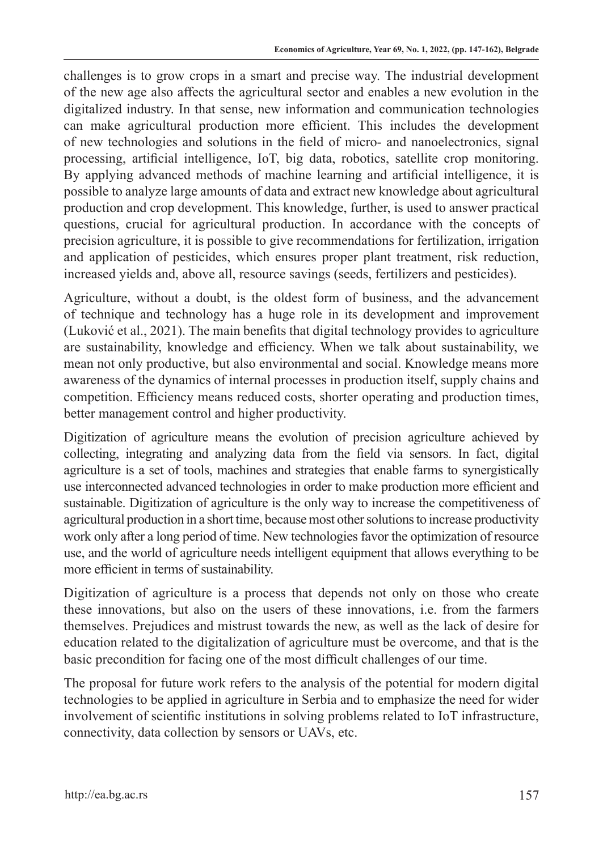challenges is to grow crops in a smart and precise way. The industrial development of the new age also affects the agricultural sector and enables a new evolution in the digitalized industry. In that sense, new information and communication technologies can make agricultural production more efficient. This includes the development of new technologies and solutions in the field of micro- and nanoelectronics, signal processing, artificial intelligence, IoT, big data, robotics, satellite crop monitoring. By applying advanced methods of machine learning and artificial intelligence, it is possible to analyze large amounts of data and extract new knowledge about agricultural production and crop development. This knowledge, further, is used to answer practical questions, crucial for agricultural production. In accordance with the concepts of precision agriculture, it is possible to give recommendations for fertilization, irrigation and application of pesticides, which ensures proper plant treatment, risk reduction, increased yields and, above all, resource savings (seeds, fertilizers and pesticides).

Agriculture, without a doubt, is the oldest form of business, and the advancement of technique and technology has a huge role in its development and improvement (Luković et al., 2021). The main benefits that digital technology provides to agriculture are sustainability, knowledge and efficiency. When we talk about sustainability, we mean not only productive, but also environmental and social. Knowledge means more awareness of the dynamics of internal processes in production itself, supply chains and competition. Efficiency means reduced costs, shorter operating and production times, better management control and higher productivity.

Digitization of agriculture means the evolution of precision agriculture achieved by collecting, integrating and analyzing data from the field via sensors. In fact, digital agriculture is a set of tools, machines and strategies that enable farms to synergistically use interconnected advanced technologies in order to make production more efficient and sustainable. Digitization of agriculture is the only way to increase the competitiveness of agricultural production in a short time, because most other solutions to increase productivity work only after a long period of time. New technologies favor the optimization of resource use, and the world of agriculture needs intelligent equipment that allows everything to be more efficient in terms of sustainability.

Digitization of agriculture is a process that depends not only on those who create these innovations, but also on the users of these innovations, i.e. from the farmers themselves. Prejudices and mistrust towards the new, as well as the lack of desire for education related to the digitalization of agriculture must be overcome, and that is the basic precondition for facing one of the most difficult challenges of our time.

The proposal for future work refers to the analysis of the potential for modern digital technologies to be applied in agriculture in Serbia and to emphasize the need for wider involvement of scientific institutions in solving problems related to IoT infrastructure, connectivity, data collection by sensors or UAVs, etc.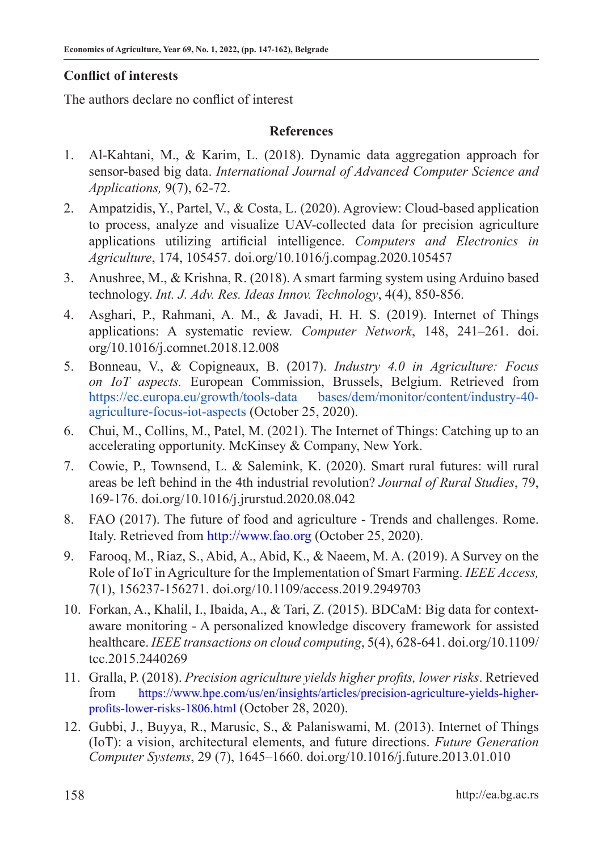# **Conflict of interests**

The authors declare no conflict of interest

## **References**

- 1. Al-Kahtani, M., & Karim, L. (2018). Dynamic data aggregation approach for sensor-based big data. *International Journal of Advanced Computer Science and Applications,* 9(7), 62-72.
- 2. Ampatzidis, Y., Partel, V., & Costa, L. (2020). Agroview: Cloud-based application to process, analyze and visualize UAV-collected data for precision agriculture applications utilizing artificial intelligence. *Computers and Electronics in Agriculture*, 174, 105457. doi.org/10.1016/j.compag.2020.105457
- 3. Anushree, M., & Krishna, R. (2018). A smart farming system using Arduino based technology. *Int. J. Adv. Res. Ideas Innov. Technology*, 4(4), 850-856.
- 4. Asghari, P., Rahmani, A. M., & Javadi, H. H. S. (2019). Internet of Things applications: A systematic review. *Computer Network*, 148, 241–261. doi. org/10.1016/j.comnet.2018.12.008
- 5. Bonneau, V., & Copigneaux, B. (2017). *Industry 4.0 in Agriculture: Focus on IoT aspects.* European Commission, Brussels, Belgium. Retrieved from https://ec.europa.eu/growth/tools-data bases/dem/monitor/content/industry-40 agriculture-focus-iot-aspects (October 25, 2020).
- 6. Chui, M., Collins, M., Patel, M. (2021). The Internet of Things: Catching up to an accelerating opportunity. McKinsey & Company, New York.
- 7. Cowie, P., Townsend, L. & Salemink, K. (2020). Smart rural futures: will rural areas be left behind in the 4th industrial revolution? *Journal of Rural Studies*, 79, 169-176. doi.org/10.1016/j.jrurstud.2020.08.042
- 8. FAO (2017). The future of food and agriculture Trends and challenges. Rome. Italy. Retrieved from http://www.fao.org (October 25, 2020).
- 9. Farooq, M., Riaz, S., Abid, A., Abid, K., & Naeem, M. A. (2019). A Survey on the Role of IoT in Agriculture for the Implementation of Smart Farming. *IEEE Access,* 7(1), 156237-156271. doi.org/10.1109/access.2019.2949703
- 10. Forkan, A., Khalil, I., Ibaida, A., & Tari, Z. (2015). BDCaM: Big data for contextaware monitoring - A personalized knowledge discovery framework for assisted healthcare. *IEEE transactions on cloud computing*, 5(4), 628-641. doi.org/10.1109/ tcc.2015.2440269
- 11. Gralla, P. (2018). *Precision agriculture yields higher profits, lower risks*. Retrieved from https://www.hpe.com/us/en/insights/articles/precision-agriculture-yields-higherprofits-lower-risks-1806.html (October 28, 2020).
- 12. Gubbi, J., Buyya, R., Marusic, S., & Palaniswami, M. (2013). Internet of Things (IoT): a vision, architectural elements, and future directions. *Future Generation Computer Systems*, 29 (7), 1645–1660. doi.org/10.1016/j.future.2013.01.010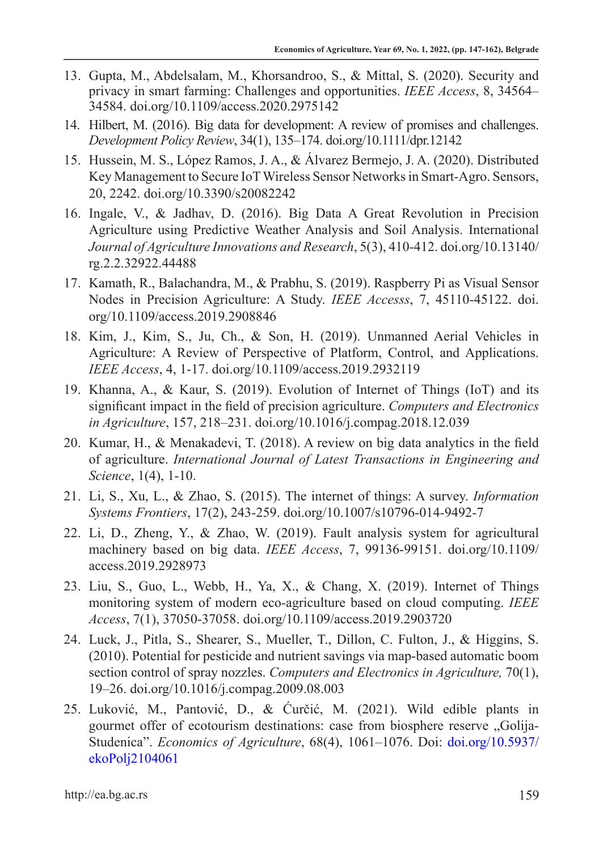- 13. Gupta, M., Abdelsalam, M., Khorsandroo, S., & Mittal, S. (2020). Security and privacy in smart farming: Challenges and opportunities. *IEEE Access*, 8, 34564– 34584. doi.org/10.1109/access.2020.2975142
- 14. Hilbert, M. (2016). Big data for development: A review of promises and challenges. *Development Policy Review*, 34(1), 135–174. doi.org/10.1111/dpr.12142
- 15. Hussein, M. S., López Ramos, J. A., & Álvarez Bermejo, J. A. (2020). Distributed Key Management to Secure IoT Wireless Sensor Networks in Smart-Agro. Sensors, 20, 2242. doi.org/10.3390/s20082242
- 16. Ingale, V., & Jadhav, D. (2016). Big Data A Great Revolution in Precision Agriculture using Predictive Weather Analysis and Soil Analysis. International *Journal of Agriculture Innovations and Research*, 5(3), 410-412. doi.org/10.13140/ rg.2.2.32922.44488
- 17. Kamath, R., Balachandra, M., & Prabhu, S. (2019). Raspberry Pi as Visual Sensor Nodes in Precision Agriculture: A Study. *IEEE Accesss*, 7, 45110-45122. doi. org/10.1109/access.2019.2908846
- 18. Kim, J., Kim, S., Ju, Ch., & Son, H. (2019). Unmanned Aerial Vehicles in Agriculture: A Review of Perspective of Platform, Control, and Applications. *IEEE Access*, 4, 1-17. doi.org/10.1109/access.2019.2932119
- 19. Khanna, A., & Kaur, S. (2019). Evolution of Internet of Things (IoT) and its significant impact in the field of precision agriculture. *Computers and Electronics in Agriculture*, 157, 218–231. doi.org/10.1016/j.compag.2018.12.039
- 20. Kumar, H., & Menakadevi, T. (2018). A review on big data analytics in the field of agriculture. *International Journal of Latest Transactions in Engineering and Science*, 1(4), 1-10.
- 21. Li, S., Xu, L., & Zhao, S. (2015). The internet of things: A survey. *Information Systems Frontiers*, 17(2), 243-259. doi.org/10.1007/s10796-014-9492-7
- 22. Li, D., Zheng, Y., & Zhao, W. (2019). Fault analysis system for agricultural machinery based on big data. *IEEE Access*, 7, 99136-99151. doi.org/10.1109/ access.2019.2928973
- 23. Liu, S., Guo, L., Webb, H., Ya, X., & Chang, X. (2019). Internet of Things monitoring system of modern eco-agriculture based on cloud computing. *IEEE Access*, 7(1), 37050-37058. doi.org/10.1109/access.2019.2903720
- 24. Luck, J., Pitla, S., Shearer, S., Mueller, T., Dillon, C. Fulton, J., & Higgins, S. (2010). Potential for pesticide and nutrient savings via map-based automatic boom section control of spray nozzles. *Computers and Electronics in Agriculture,* 70(1), 19–26. doi.org/10.1016/j.compag.2009.08.003
- 25. Luković, M., Pantović, D., & Ćurčić, M. (2021). Wild edible plants in gourmet offer of ecotourism destinations: case from biosphere reserve "Golija-Studenica". *Economics of Agriculture*, 68(4), 1061–1076. Doi: doi.org/10.5937/ ekoPolj2104061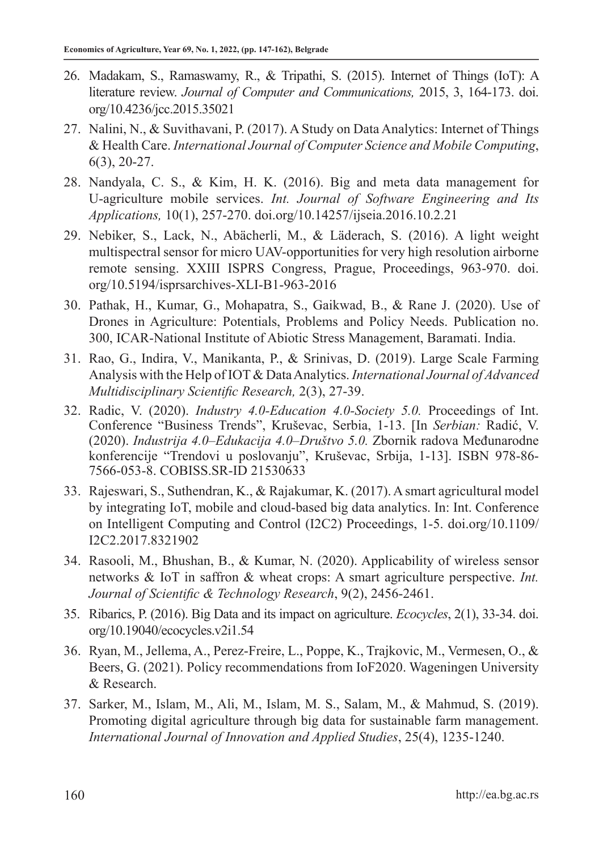- 26. Madakam, S., Ramaswamy, R., & Tripathi, S. (2015). Internet of Things (IoT): A literature review. *Journal of Computer and Communications,* 2015, 3, 164-173. doi. org/10.4236/jcc.2015.35021
- 27. Nalini, N., & Suvithavani, P. (2017). A Study on Data Analytics: Internet of Things & Health Care. *International Journal of Computer Science and Mobile Computing*, 6(3), 20-27.
- 28. Nandyala, C. S., & Kim, H. K. (2016). Big and meta data management for U-agriculture mobile services. *Int. Journal of Software Engineering and Its Applications,* 10(1), 257-270. doi.org/10.14257/ijseia.2016.10.2.21
- 29. Nebiker, S., Lack, N., Abächerli, M., & Läderach, S. (2016). A light weight multispectral sensor for micro UAV-opportunities for very high resolution airborne remote sensing. XXIII ISPRS Congress, Prague, Proceedings, 963-970. doi. org/10.5194/isprsarchives-XLI-B1-963-2016
- 30. Pathak, H., Kumar, G., Mohapatra, S., Gaikwad, B., & Rane J. (2020). Use of Drones in Agriculture: Potentials, Problems and Policy Needs. Publication no. 300, ICAR-National Institute of Abiotic Stress Management, Baramati. India.
- 31. Rao, G., Indira, V., Manikanta, P., & Srinivas, D. (2019). Large Scale Farming Analysis with the Help of IOT & Data Analytics. *International Journal of Advanced Multidisciplinary Scientific Research,* 2(3), 27-39.
- 32. Radic, V. (2020). *Industry 4.0-Education 4.0-Society 5.0.* Proceedings of Int. Conference "Business Trends", Kruševac, Serbia, 1-13. [In *Serbian:* Radić, V. (2020). *Industrija 4.0–Edukacija 4.0–Društvo 5.0.* Zbornik radova Međunarodne konferencije "Trendovi u poslovanju", Kruševac, Srbija, 1-13]. ISBN 978-86- 7566-053-8. COBISS.SR-ID 21530633
- 33. Rajeswari, S., Suthendran, K., & Rajakumar, K. (2017). A smart agricultural model by integrating IoT, mobile and cloud-based big data analytics. In: Int. Conference on Intelligent Computing and Control (I2C2) Proceedings, 1-5. doi.org/10.1109/ I2C2.2017.8321902
- 34. Rasooli, M., Bhushan, B., & Kumar, N. (2020). Applicability of wireless sensor networks & IoT in saffron & wheat crops: A smart agriculture perspective. *Int. Journal of Scientific & Technology Research*, 9(2), 2456-2461.
- 35. Ribarics, P. (2016). Big Data and its impact on agriculture. *Ecocycles*, 2(1), 33-34. doi. org/10.19040/ecocycles.v2i1.54
- 36. Ryan, M., Jellema, A., Perez-Freire, L., Poppe, K., Trajkovic, M., Vermesen, O., & Beers, G. (2021). Policy recommendations from IoF2020. Wageningen University & Research.
- 37. Sarker, M., Islam, M., Ali, M., Islam, M. S., Salam, M., & Mahmud, S. (2019). Promoting digital agriculture through big data for sustainable farm management. *International Journal of Innovation and Applied Studies*, 25(4), 1235-1240.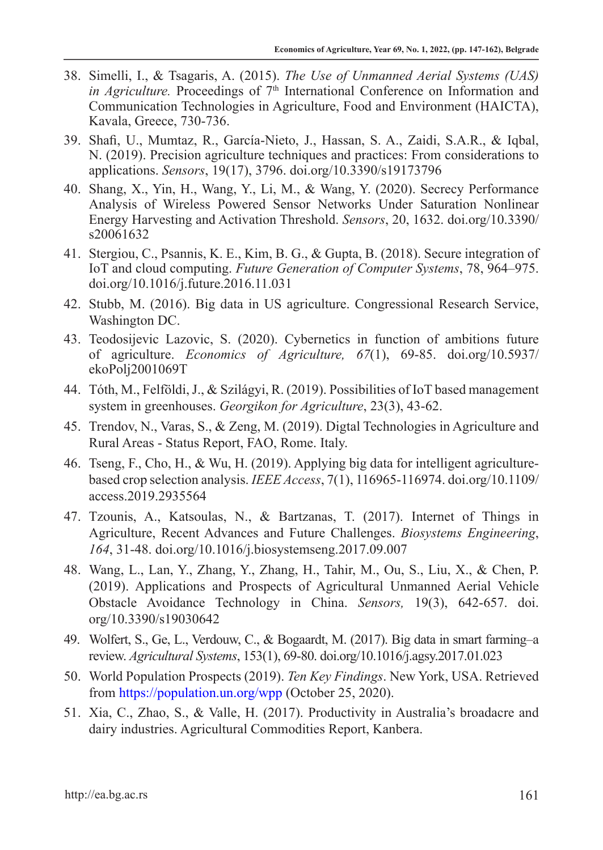- 38. Simelli, I., & Tsagaris, A. (2015). *The Use of Unmanned Aerial Systems (UAS) in Agriculture.* Proceedings of  $7<sup>th</sup>$  International Conference on Information and Communication Technologies in Agriculture, Food and Environment (HAICTA), Kavala, Greece, 730-736.
- 39. Shafi, U., Mumtaz, R., García-Nieto, J., Hassan, S. A., Zaidi, S.A.R., & Iqbal, N. (2019). Precision agriculture techniques and practices: From considerations to applications. *Sensors*, 19(17), 3796. doi.org/10.3390/s19173796
- 40. Shang, X., Yin, H., Wang, Y., Li, M., & Wang, Y. (2020). Secrecy Performance Analysis of Wireless Powered Sensor Networks Under Saturation Nonlinear Energy Harvesting and Activation Threshold. *Sensors*, 20, 1632. doi.org/10.3390/ s20061632
- 41. Stergiou, C., Psannis, K. E., Kim, B. G., & Gupta, B. (2018). Secure integration of IoT and cloud computing. *Future Generation of Computer Systems*, 78, 964–975. doi.org/10.1016/j.future.2016.11.031
- 42. Stubb, M. (2016). Big data in US agriculture. Congressional Research Service, Washington DC.
- 43. Teodosijevic Lazovic, S. (2020). Cybernetics in function of ambitions future of agriculture. *Economics of Agriculture, 67*(1), 69-85. doi.org/10.5937/ ekoPolj2001069T
- 44. Tóth, M., Felföldi, J., & Szilágyi, R. (2019). Possibilities of IoT based management system in greenhouses. *Georgikon for Agriculture*, 23(3), 43-62.
- 45. Trendov, N., Varas, S., & Zeng, M. (2019). Digtal Technologies in Agriculture and Rural Areas - Status Report, FAO, Rome. Italy.
- 46. Tseng, F., Cho, H., & Wu, H. (2019). Applying big data for intelligent agriculturebased crop selection analysis. *IEEE Access*, 7(1), 116965-116974. doi.org/10.1109/ access.2019.2935564
- 47. Tzounis, A., Katsoulas, N., & Bartzanas, T. (2017). Internet of Things in Agriculture, Recent Advances and Future Challenges. *Biosystems Engineering*, *164*, 31-48. doi.org/10.1016/j.biosystemseng.2017.09.007
- 48. Wang, L., Lan, Y., Zhang, Y., Zhang, H., Tahir, M., Ou, S., Liu, X., & Chen, P. (2019). Applications and Prospects of Agricultural Unmanned Aerial Vehicle Obstacle Avoidance Technology in China. *Sensors,* 19(3), 642-657. doi. org/10.3390/s19030642
- 49. Wolfert, S., Ge, L., Verdouw, C., & Bogaardt, M. (2017). Big data in smart farming–a review. *Agricultural Systems*, 153(1), 69-80. doi.org/10.1016/j.agsy.2017.01.023
- 50. World Population Prospects (2019). *Ten Key Findings*. New York, USA. Retrieved from https://population.un.org/wpp (October 25, 2020).
- 51. Xia, C., Zhao, S., & Valle, H. (2017). Productivity in Australia's broadacre and dairy industries. Agricultural Commodities Report, Kanbera.